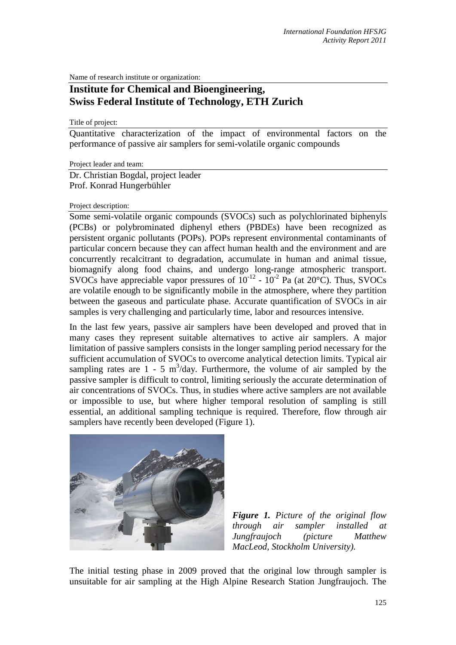Name of research institute or organization:

## **Institute for Chemical and Bioengineering, Swiss Federal Institute of Technology, ETH Zurich**

Title of project:

Quantitative characterization of the impact of environmental factors on the performance of passive air samplers for semi-volatile organic compounds

Project leader and team:

Dr. Christian Bogdal, project leader Prof. Konrad Hungerbühler

## Project description:

Some semi-volatile organic compounds (SVOCs) such as polychlorinated biphenyls (PCBs) or polybrominated diphenyl ethers (PBDEs) have been recognized as persistent organic pollutants (POPs). POPs represent environmental contaminants of particular concern because they can affect human health and the environment and are concurrently recalcitrant to degradation, accumulate in human and animal tissue, biomagnify along food chains, and undergo long-range atmospheric transport. SVOCs have appreciable vapor pressures of  $10^{-12}$  -  $10^{-2}$  Pa (at 20 $^{\circ}$ C). Thus, SVOCs are volatile enough to be significantly mobile in the atmosphere, where they partition between the gaseous and particulate phase. Accurate quantification of SVOCs in air samples is very challenging and particularly time, labor and resources intensive.

In the last few years, passive air samplers have been developed and proved that in many cases they represent suitable alternatives to active air samplers. A major limitation of passive samplers consists in the longer sampling period necessary for the sufficient accumulation of SVOCs to overcome analytical detection limits. Typical air sampling rates are  $1 - 5$  m<sup>3</sup>/day. Furthermore, the volume of air sampled by the passive sampler is difficult to control, limiting seriously the accurate determination of air concentrations of SVOCs. Thus, in studies where active samplers are not available or impossible to use, but where higher temporal resolution of sampling is still essential, an additional sampling technique is required. Therefore, flow through air samplers have recently been developed (Figure 1).



*Figure 1. Picture of the original flow through air sampler installed at Jungfraujoch (picture Matthew MacLeod, Stockholm University).* 

The initial testing phase in 2009 proved that the original low through sampler is unsuitable for air sampling at the High Alpine Research Station Jungfraujoch. The